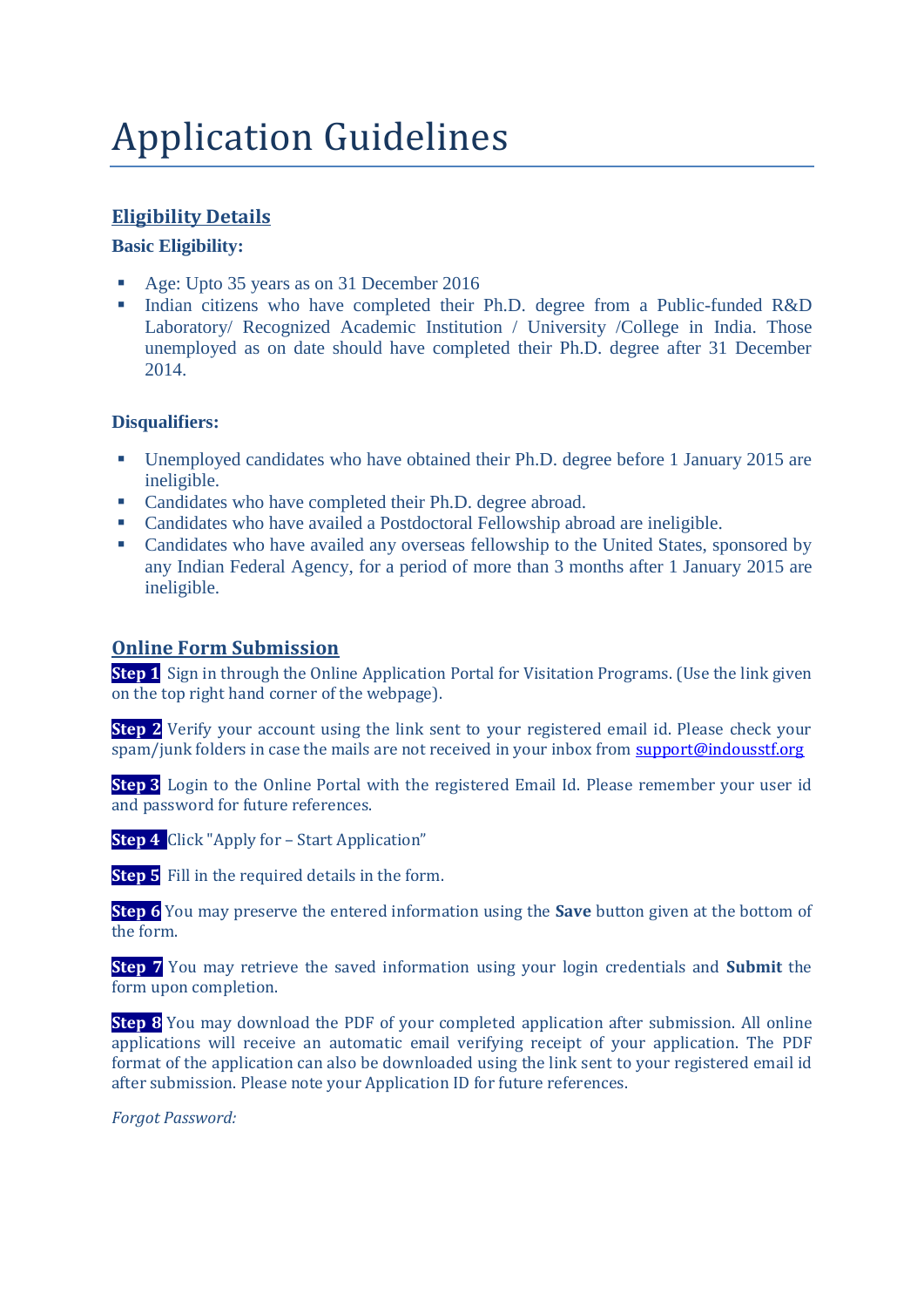# Application Guidelines

## **Eligibility Details**

#### **Basic Eligibility:**

- Age: Upto 35 years as on 31 December 2016
- Indian citizens who have completed their Ph.D. degree from a Public-funded R&D Laboratory/ Recognized Academic Institution / University /College in India. Those unemployed as on date should have completed their Ph.D. degree after 31 December 2014.

#### **Disqualifiers:**

- Unemployed candidates who have obtained their Ph.D. degree before 1 January 2015 are ineligible.
- Candidates who have completed their Ph.D. degree abroad.
- Candidates who have availed a Postdoctoral Fellowship abroad are ineligible.
- Candidates who have availed any overseas fellowship to the United States, sponsored by any Indian Federal Agency, for a period of more than 3 months after 1 January 2015 are ineligible.

#### **Online Form Submission**

**Step 1** Sign in through the Online Application Portal for Visitation Programs. (Use the link given on the top right hand corner of the webpage).

**Step 2** Verify your account using the link sent to your registered email id. Please check your spam/junk folders in case the mails are not received in your inbox fro[m support@indousstf.org](mailto:support@indousstf.org)

**Step 3** Login to the Online Portal with the registered Email Id. Please remember your user id and password for future references.

**Step 4** Click "Apply for – Start Application"

**Step 5** Fill in the required details in the form.

**Step 6** You may preserve the entered information using the **Save** button given at the bottom of the form.

**Step 7** You may retrieve the saved information using your login credentials and **Submit** the form upon completion.

**Step 8** You may download the PDF of your completed application after submission. All online applications will receive an automatic email verifying receipt of your application. The PDF format of the application can also be downloaded using the link sent to your registered email id after submission. Please note your Application ID for future references.

*Forgot Password:*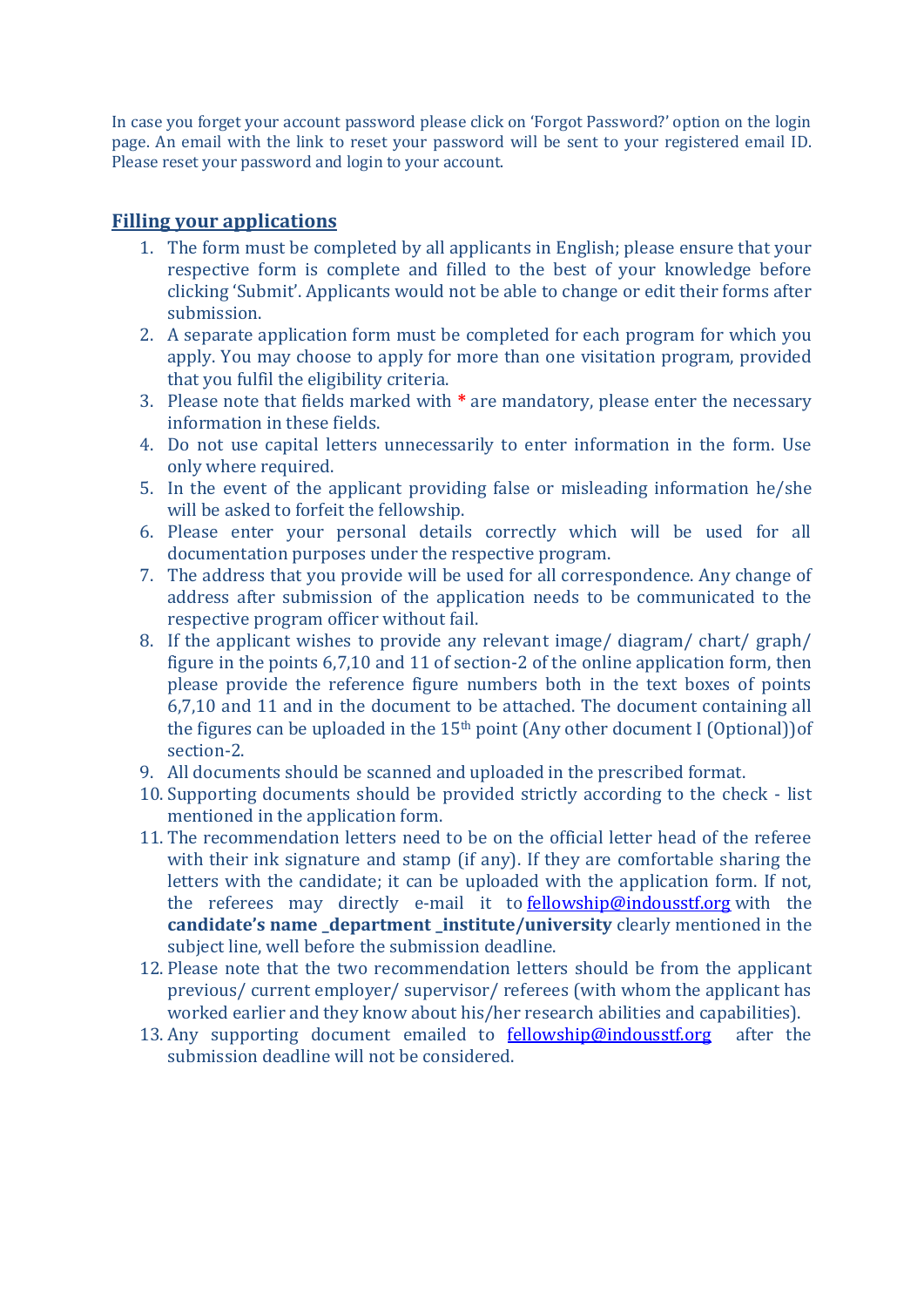In case you forget your account password please click on 'Forgot Password?' option on the login page. An email with the link to reset your password will be sent to your registered email ID. Please reset your password and login to your account.

### **Filling your applications**

- 1. The form must be completed by all applicants in English; please ensure that your respective form is complete and filled to the best of your knowledge before clicking 'Submit'. Applicants would not be able to change or edit their forms after submission.
- 2. A separate application form must be completed for each program for which you apply. You may choose to apply for more than one visitation program, provided that you fulfil the eligibility criteria.
- 3. Please note that fields marked with **\*** are mandatory, please enter the necessary information in these fields.
- 4. Do not use capital letters unnecessarily to enter information in the form. Use only where required.
- 5. In the event of the applicant providing false or misleading information he/she will be asked to forfeit the fellowship.
- 6. Please enter your personal details correctly which will be used for all documentation purposes under the respective program.
- 7. The address that you provide will be used for all correspondence. Any change of address after submission of the application needs to be communicated to the respective program officer without fail.
- 8. If the applicant wishes to provide any relevant image/ diagram/ chart/ graph/ figure in the points 6,7,10 and 11 of section-2 of the online application form, then please provide the reference figure numbers both in the text boxes of points 6,7,10 and 11 and in the document to be attached. The document containing all the figures can be uploaded in the 15th point (Any other document I (Optional))of section-2.
- 9. All documents should be scanned and uploaded in the prescribed format.
- 10. Supporting documents should be provided strictly according to the check list mentioned in the application form.
- 11. The recommendation letters need to be on the official letter head of the referee with their ink signature and stamp (if any). If they are comfortable sharing the letters with the candidate; it can be uploaded with the application form. If not, the referees may directly e-mail it to [fellowship@indousstf.org](mailto:fellowship@indousstf.org) with the **candidate's name \_department \_institute/university** clearly mentioned in the subject line, well before the submission deadline.
- 12. Please note that the two recommendation letters should be from the applicant previous/ current employer/ supervisor/ referees (with whom the applicant has worked earlier and they know about his/her research abilities and capabilities).
- 13. Any supporting document emailed to  $\frac{fellowship@indousstf.org}{fellowship@indousstf.org}$  after the submission deadline will not be considered.